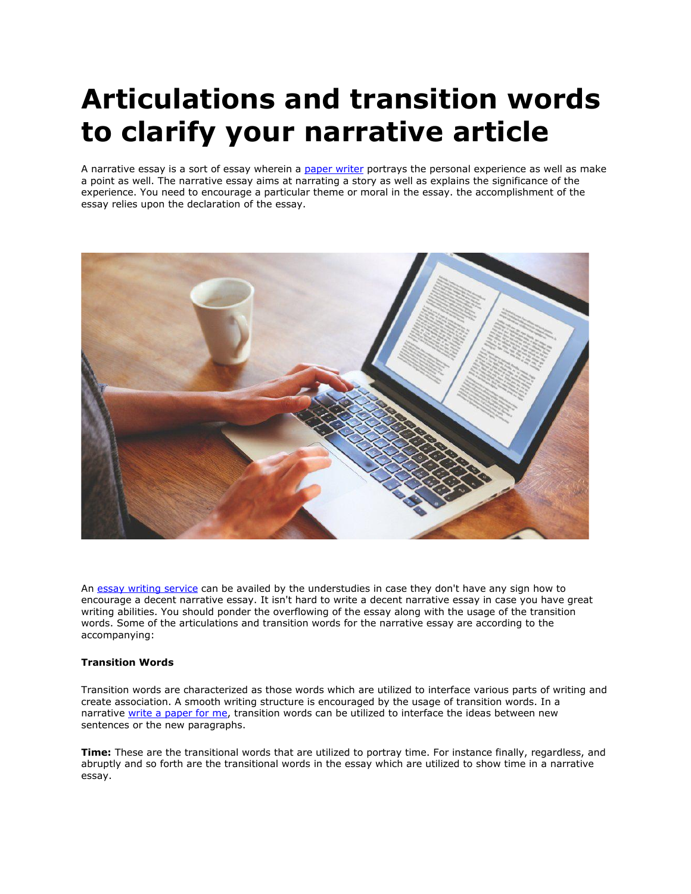# **Articulations and transition words to clarify your narrative article**

A narrative essay is a sort of essay wherein a [paper writer](https://www.myperfectpaper.net/) portrays the personal experience as well as make a point as well. The narrative essay aims at narrating a story as well as explains the significance of the experience. You need to encourage a particular theme or moral in the essay. the accomplishment of the essay relies upon the declaration of the essay.



An [essay writing service](https://www.essaywritingservice.college/) can be availed by the understudies in case they don't have any sign how to encourage a decent narrative essay. It isn't hard to write a decent narrative essay in case you have great writing abilities. You should ponder the overflowing of the essay along with the usage of the transition words. Some of the articulations and transition words for the narrative essay are according to the accompanying:

# **Transition Words**

Transition words are characterized as those words which are utilized to interface various parts of writing and create association. A smooth writing structure is encouraged by the usage of transition words. In a narrative [write a paper for me,](https://www.myperfectpaper.net/) transition words can be utilized to interface the ideas between new sentences or the new paragraphs.

**Time:** These are the transitional words that are utilized to portray time. For instance finally, regardless, and abruptly and so forth are the transitional words in the essay which are utilized to show time in a narrative essay.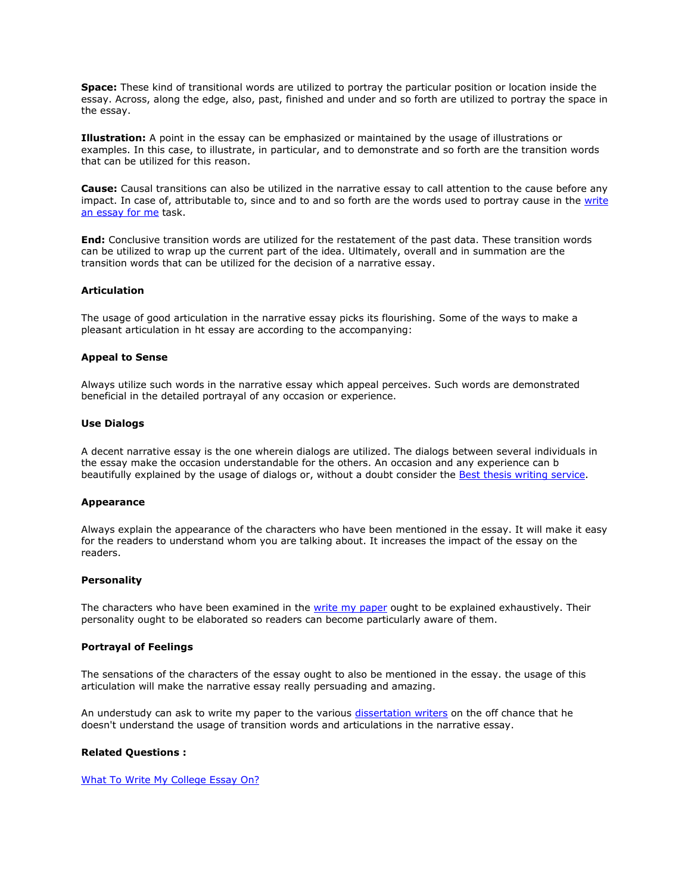**Space:** These kind of transitional words are utilized to portray the particular position or location inside the essay. Across, along the edge, also, past, finished and under and so forth are utilized to portray the space in the essay.

**Illustration:** A point in the essay can be emphasized or maintained by the usage of illustrations or examples. In this case, to illustrate, in particular, and to demonstrate and so forth are the transition words that can be utilized for this reason.

**Cause:** Causal transitions can also be utilized in the narrative essay to call attention to the cause before any impact. In case of, attributable to, since and to and so forth are the words used to portray cause in the [write](https://www.writemyessay.help/)  [an essay for me](https://www.writemyessay.help/) task.

**End:** Conclusive transition words are utilized for the restatement of the past data. These transition words can be utilized to wrap up the current part of the idea. Ultimately, overall and in summation are the transition words that can be utilized for the decision of a narrative essay.

# **Articulation**

The usage of good articulation in the narrative essay picks its flourishing. Some of the ways to make a pleasant articulation in ht essay are according to the accompanying:

## **Appeal to Sense**

Always utilize such words in the narrative essay which appeal perceives. Such words are demonstrated beneficial in the detailed portrayal of any occasion or experience.

#### **Use Dialogs**

A decent narrative essay is the one wherein dialogs are utilized. The dialogs between several individuals in the essay make the occasion understandable for the others. An occasion and any experience can b beautifully explained by the usage of dialogs or, without a doubt consider the [Best thesis writing service.](https://www.gradschoolgenius.com/thesis-writing-service)

## **Appearance**

Always explain the appearance of the characters who have been mentioned in the essay. It will make it easy for the readers to understand whom you are talking about. It increases the impact of the essay on the readers.

#### **Personality**

The characters who have been examined in the [write my paper](https://www.sharkpapers.com/write-my-paper) ought to be explained exhaustively. Their personality ought to be elaborated so readers can become particularly aware of them.

#### **Portrayal of Feelings**

The sensations of the characters of the essay ought to also be mentioned in the essay. the usage of this articulation will make the narrative essay really persuading and amazing.

An understudy can ask to write my paper to the various [dissertation writers](https://www.gradschoolgenius.com/professional-dissertation-writers) on the off chance that he doesn't understand the usage of transition words and articulations in the narrative essay.

## **Related Questions :**

[What To Write My College Essay On?](https://www.5staressays.com/write-my-essay/what-to-write-my-college-essay-on)